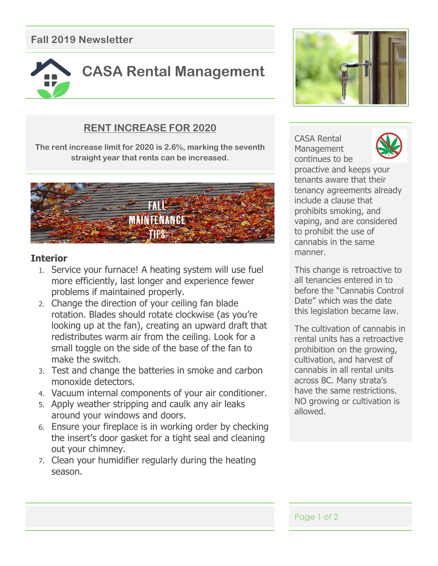# **Fall 2019 Newsletter**



## **RENT INCREASE FOR 2020**

**The rent increase limit for 2020 is 2.6%, marking the seventh straight year that rents can be increased.**



#### **Interior**

- 1. Service your furnace! A heating system will use fuel more efficiently, last longer and experience fewer problems if maintained properly.
- 2. Change the direction of your ceiling fan blade rotation. Blades should rotate clockwise (as you're looking up at the fan), creating an upward draft that redistributes warm air from the ceiling. Look for a small toggle on the side of the base of the fan to make the switch.
- 3. Test and change the batteries in smoke and carbon monoxide detectors.
- 4. Vacuum internal components of your air conditioner.
- 5. Apply weather stripping and caulk any air leaks around your windows and doors.
- 6. Ensure your fireplace is in working order by checking the insert's door gasket for a tight seal and cleaning out your chimney.

around where siding meets mass  $\alpha$  around  $\alpha$  meets  $\alpha$  around  $\alpha$  around  $\alpha$ 

7. Clean your humidifier regularly during the heating season.



CASA Rental **Management** continues to be



proactive and keeps your tenants aware that their tenancy agreements already include a clause that prohibits smoking, and vaping, and are considered to prohibit the use of cannabis in the same manner.

This change is retroactive to all tenancies entered in to before the "Cannabis Control Date" which was the date this legislation became law.

The cultivation of cannabis in rental units has a retroactive prohibition on the growing, cultivation, and harvest of cannabis in all rental units across BC. Many strata's have the same restrictions. NO growing or cultivation is allowed.

Page 1 of 2